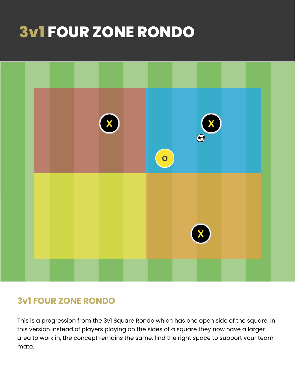# **3v1 FOUR ZONE RONDO**



## **3v1 FOUR ZONE RONDO**

This is a progression from the 3v1 Square Rondo which has one open side of the square. In this version instead of players playing on the sides of a square they now have a larger area to work in, the concept remains the same, find the right space to support your team mate.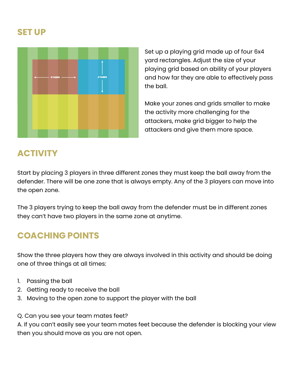#### **SET UP**



Set up a playing grid made up of four 6x4 yard rectangles. Adjust the size of your playing grid based on ability of your players and how far they are able to effectively pass the ball.

Make your zones and grids smaller to make the activity more challenging for the attackers, make grid bigger to help the attackers and give them more space.

## **ACTIVITY**

Start by placing 3 players in three different zones they must keep the ball away from the defender. There will be one zone that is always empty. Any of the 3 players can move into the open zone.

The 3 players trying to keep the ball away from the defender must be in different zones they can't have two players in the same zone at anytime.

# **COACHING POINTS**

Show the three players how they are always involved in this activity and should be doing one of three things at all times:

- 1. Passing the ball
- 2. Getting ready to receive the ball
- 3. Moving to the open zone to support the player with the ball

Q. Can you see your team mates feet?

A. If you can't easily see your team mates feet because the defender is blocking your view then you should move as you are not open.